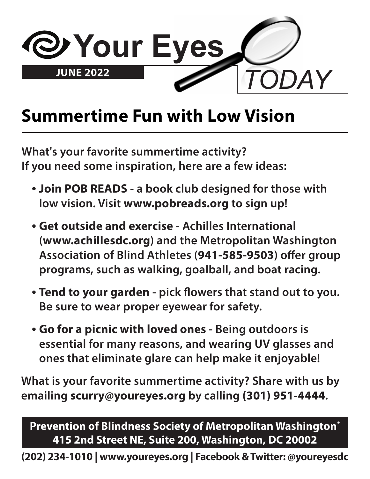

### **Summertime Fun with Low Vision**

**What's your favorite summertime activity? If you need some inspiration, here are a few ideas:**

- **• Join POB READS a book club designed for those with low vision. Visit www.pobreads.org to sign up!**
- **• Get outside and exercise Achilles International (www.achillesdc.org) and the Metropolitan Washington Association of Blind Athletes (941-585-9503) offer group programs, such as walking, goalball, and boat racing.**
- **• Tend to your garden pick flowers that stand out to you. Be sure to wear proper eyewear for safety.**
- **• Go for a picnic with loved ones Being outdoors is essential for many reasons, and wearing UV glasses and ones that eliminate glare can help make it enjoyable!**

**What is your favorite summertime activity? Share with us by emailing scurry@youreyes.org by calling (301) 951-4444.**

**Prevention of Blindness Society of Metropolitan Washington® 415 2nd Street NE, Suite 200, Washington, DC 20002**

**(202) 234-1010 | www.youreyes.org | Facebook & Twitter: @youreyesdc**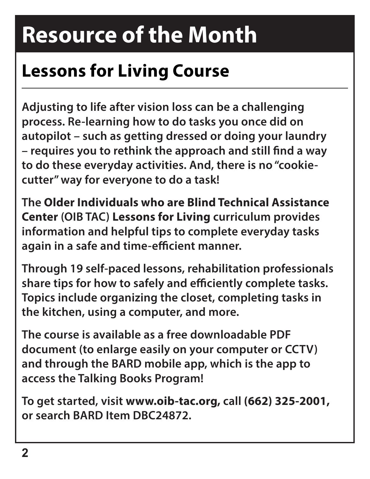## **Resource of the Month**

### **Lessons for Living Course**

**Adjusting to life after vision loss can be a challenging process. Re-learning how to do tasks you once did on autopilot – such as getting dressed or doing your laundry – requires you to rethink the approach and still find a way to do these everyday activities. And, there is no "cookiecutter" way for everyone to do a task!**

**The Older Individuals who are Blind Technical Assistance Center (OIB TAC) Lessons for Living curriculum provides information and helpful tips to complete everyday tasks again in a safe and time-efficient manner.**

**Through 19 self-paced lessons, rehabilitation professionals share tips for how to safely and efficiently complete tasks. Topics include organizing the closet, completing tasks in the kitchen, using a computer, and more.**

**The course is available as a free downloadable PDF document (to enlarge easily on your computer or CCTV) and through the BARD mobile app, which is the app to access the Talking Books Program!**

**To get started, visit www.oib-tac.org, call (662) 325-2001, or search BARD Item DBC24872.**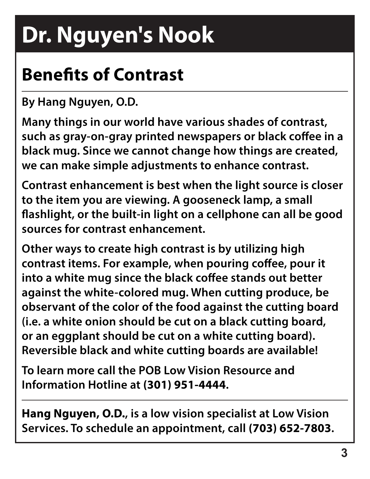# **Dr. Nguyen's Nook**

## **Benefits of Contrast**

**By Hang Nguyen, O.D.**

**Many things in our world have various shades of contrast, such as gray-on-gray printed newspapers or black coffee in a black mug. Since we cannot change how things are created, we can make simple adjustments to enhance contrast.**

**Contrast enhancement is best when the light source is closer to the item you are viewing. A gooseneck lamp, a small flashlight, or the built-in light on a cellphone can all be good sources for contrast enhancement.**

**Other ways to create high contrast is by utilizing high contrast items. For example, when pouring coffee, pour it into a white mug since the black coffee stands out better against the white-colored mug. When cutting produce, be observant of the color of the food against the cutting board (i.e. a white onion should be cut on a black cutting board, or an eggplant should be cut on a white cutting board). Reversible black and white cutting boards are available!**

**To learn more call the POB Low Vision Resource and Information Hotline at (301) 951-4444.**

**Hang Nguyen, O.D., is a low vision specialist at Low Vision Services. To schedule an appointment, call (703) 652-7803.**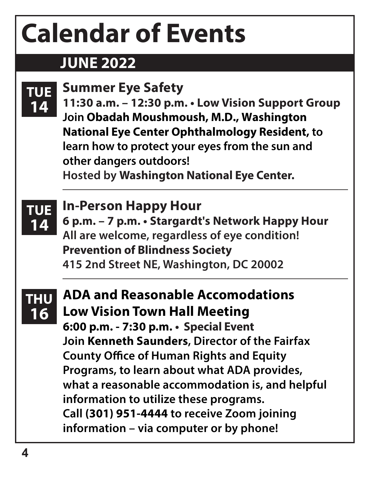# **Calendar of Events**

#### **JUNE 2022**

| <b>TUE</b><br>14        | <b>Summer Eye Safety</b><br>11:30 a.m. - 12:30 p.m. • Low Vision Support Group<br>Join Obadah Moushmoush, M.D., Washington<br><b>National Eye Center Ophthalmology Resident, to</b><br>learn how to protect your eyes from the sun and<br>other dangers outdoors!<br><b>Hosted by Washington National Eye Center.</b>                                                                                                                                              |
|-------------------------|--------------------------------------------------------------------------------------------------------------------------------------------------------------------------------------------------------------------------------------------------------------------------------------------------------------------------------------------------------------------------------------------------------------------------------------------------------------------|
| <b>TUE</b><br>14        | <b>In-Person Happy Hour</b><br>6 p.m. - 7 p.m. • Stargardt's Network Happy Hour<br>All are welcome, regardless of eye condition!<br><b>Prevention of Blindness Society</b><br>415 2nd Street NE, Washington, DC 20002                                                                                                                                                                                                                                              |
| <b>THU</b><br><b>16</b> | <b>ADA and Reasonable Accomodations</b><br><b>Low Vision Town Hall Meeting</b><br>6:00 p.m. - 7:30 p.m. • Special Event<br>Join Kenneth Saunders, Director of the Fairfax<br><b>County Office of Human Rights and Equity</b><br>Programs, to learn about what ADA provides,<br>what a reasonable accommodation is, and helpful<br>information to utilize these programs.<br>Call (301) 951-4444 to receive Zoom joining<br>information - via computer or by phone! |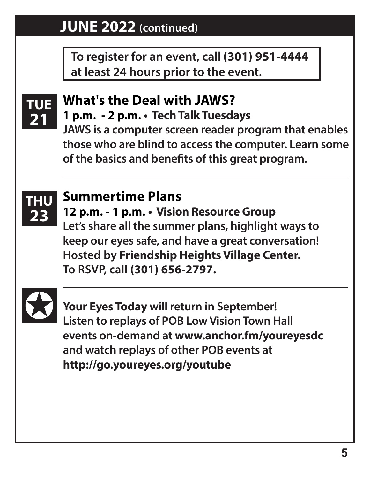#### **JUNE 2022 (continued)**

**To register for an event, call (301) 951-4444 at least 24 hours prior to the event.**



#### **What's the Deal with JAWS? 1 p.m. - 2 p.m. • Tech Talk Tuesdays**

**JAWS is a computer screen reader program that enables those who are blind to access the computer. Learn some of the basics and benefits of this great program.**



#### **Summertime Plans**

**12 p.m. - 1 p.m. • Vision Resource Group Let's share all the summer plans, highlight ways to keep our eyes safe, and have a great conversation! Hosted by Friendship Heights Village Center. To RSVP, call (301) 656-2797.**



**Your Eyes Today will return in September! Listen to replays of POB Low Vision Town Hall events on-demand at www.anchor.fm/youreyesdc and watch replays of other POB events at http://go.youreyes.org/youtube**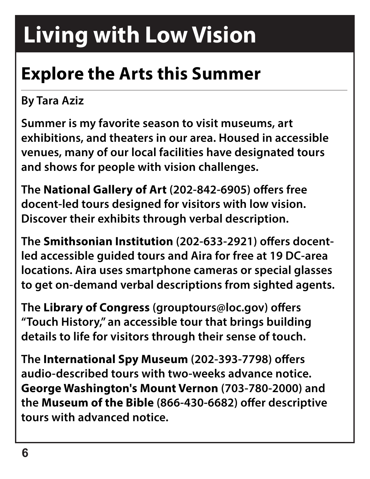## **Living with Low Vision**

## **Explore the Arts this Summer**

#### **By Tara Aziz**

**Summer is my favorite season to visit museums, art exhibitions, and theaters in our area. Housed in accessible venues, many of our local facilities have designated tours and shows for people with vision challenges.**

**The National Gallery of Art (202-842-6905) offers free docent-led tours designed for visitors with low vision. Discover their exhibits through verbal description.** 

**The Smithsonian Institution (202-633-2921) offers docentled accessible guided tours and Aira for free at 19 DC-area locations. Aira uses smartphone cameras or special glasses to get on-demand verbal descriptions from sighted agents.**

**The Library of Congress (grouptours@loc.gov) offers "Touch History," an accessible tour that brings building details to life for visitors through their sense of touch.**

**The International Spy Museum (202-393-7798) offers audio-described tours with two-weeks advance notice. George Washington's Mount Vernon (703-780-2000) and the Museum of the Bible (866-430-6682) offer descriptive tours with advanced notice.**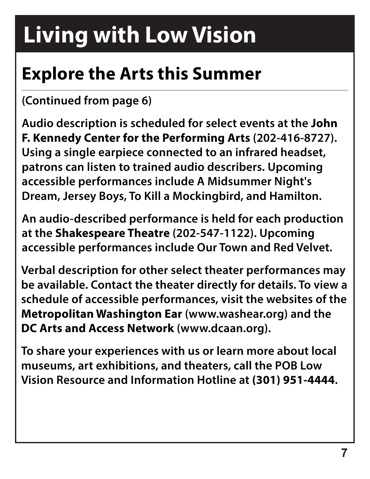## **Living with Low Vision**

### **Explore the Arts this Summer**

#### **(Continued from page 6)**

**Audio description is scheduled for select events at the John F. Kennedy Center for the Performing Arts (202-416-8727). Using a single earpiece connected to an infrared headset, patrons can listen to trained audio describers. Upcoming accessible performances include A Midsummer Night's Dream, Jersey Boys, To Kill a Mockingbird, and Hamilton.**

**An audio-described performance is held for each production at the Shakespeare Theatre (202-547-1122). Upcoming accessible performances include Our Town and Red Velvet.**

**Verbal description for other select theater performances may be available. Contact the theater directly for details. To view a schedule of accessible performances, visit the websites of the Metropolitan Washington Ear (www.washear.org) and the DC Arts and Access Network (www.dcaan.org).**

**To share your experiences with us or learn more about local museums, art exhibitions, and theaters, call the POB Low Vision Resource and Information Hotline at (301) 951-4444.**